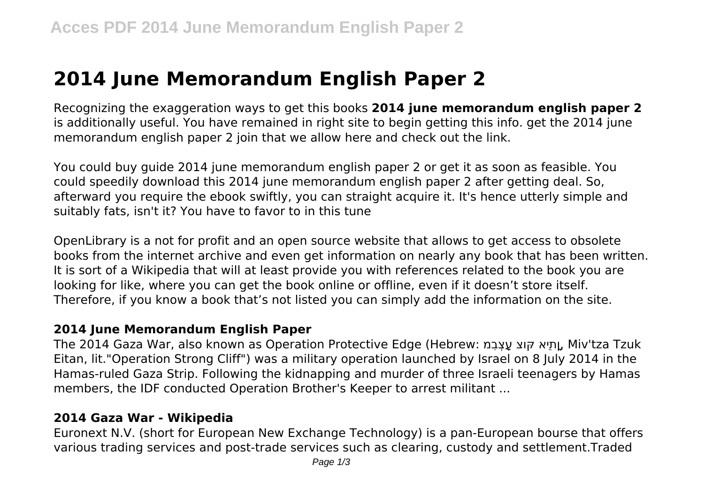# **2014 June Memorandum English Paper 2**

Recognizing the exaggeration ways to get this books **2014 june memorandum english paper 2** is additionally useful. You have remained in right site to begin getting this info. get the 2014 june memorandum english paper 2 join that we allow here and check out the link.

You could buy guide 2014 june memorandum english paper 2 or get it as soon as feasible. You could speedily download this 2014 june memorandum english paper 2 after getting deal. So, afterward you require the ebook swiftly, you can straight acquire it. It's hence utterly simple and suitably fats, isn't it? You have to favor to in this tune

OpenLibrary is a not for profit and an open source website that allows to get access to obsolete books from the internet archive and even get information on nearly any book that has been written. It is sort of a Wikipedia that will at least provide you with references related to the book you are looking for like, where you can get the book online or offline, even if it doesn't store itself. Therefore, if you know a book that's not listed you can simply add the information on the site.

## **2014 June Memorandum English Paper**

The 2014 Gaza War, also known as Operation Protective Edge (Hebrew: מִבְצָע וצּק אֵתיָן, Miv'tza Tzuk Eitan, lit."Operation Strong Cliff") was a military operation launched by Israel on 8 July 2014 in the Hamas-ruled Gaza Strip. Following the kidnapping and murder of three Israeli teenagers by Hamas members, the IDF conducted Operation Brother's Keeper to arrest militant ...

## **2014 Gaza War - Wikipedia**

Euronext N.V. (short for European New Exchange Technology) is a pan-European bourse that offers various trading services and post-trade services such as clearing, custody and settlement.Traded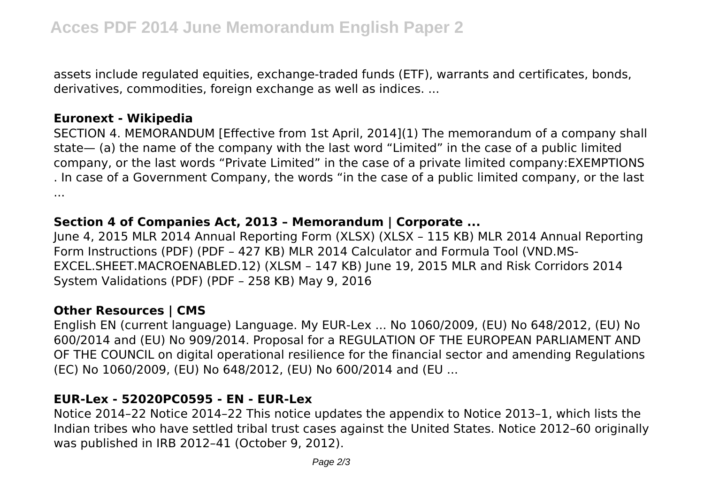assets include regulated equities, exchange-traded funds (ETF), warrants and certificates, bonds, derivatives, commodities, foreign exchange as well as indices. ...

### **Euronext - Wikipedia**

SECTION 4. MEMORANDUM [Effective from 1st April, 2014](1) The memorandum of a company shall state— (a) the name of the company with the last word "Limited" in the case of a public limited company, or the last words "Private Limited" in the case of a private limited company:EXEMPTIONS . In case of a Government Company, the words "in the case of a public limited company, or the last ...

### **Section 4 of Companies Act, 2013 – Memorandum | Corporate ...**

June 4, 2015 MLR 2014 Annual Reporting Form (XLSX) (XLSX – 115 KB) MLR 2014 Annual Reporting Form Instructions (PDF) (PDF – 427 KB) MLR 2014 Calculator and Formula Tool (VND.MS-EXCEL.SHEET.MACROENABLED.12) (XLSM – 147 KB) June 19, 2015 MLR and Risk Corridors 2014 System Validations (PDF) (PDF – 258 KB) May 9, 2016

## **Other Resources | CMS**

English EN (current language) Language. My EUR-Lex ... No 1060/2009, (EU) No 648/2012, (EU) No 600/2014 and (EU) No 909/2014. Proposal for a REGULATION OF THE EUROPEAN PARLIAMENT AND OF THE COUNCIL on digital operational resilience for the financial sector and amending Regulations (EC) No 1060/2009, (EU) No 648/2012, (EU) No 600/2014 and (EU ...

### **EUR-Lex - 52020PC0595 - EN - EUR-Lex**

Notice 2014–22 Notice 2014–22 This notice updates the appendix to Notice 2013–1, which lists the Indian tribes who have settled tribal trust cases against the United States. Notice 2012–60 originally was published in IRB 2012–41 (October 9, 2012).